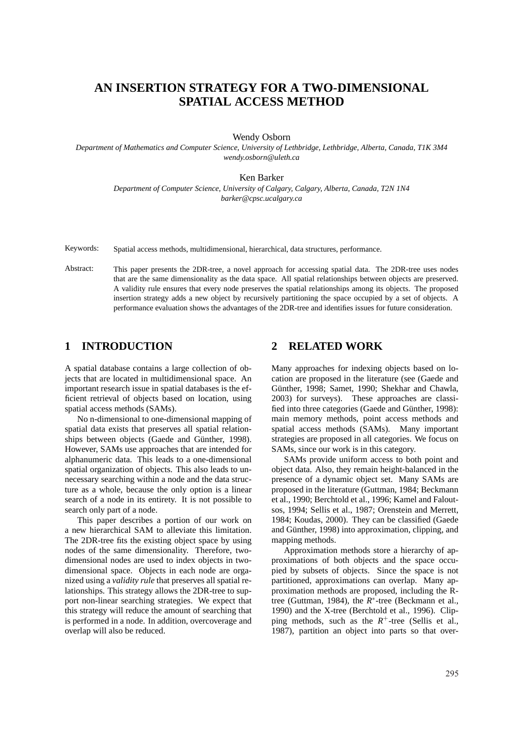# **AN INSERTION STRATEGY FOR A TWO-DIMENSIONAL SPATIAL ACCESS METHOD**

Wendy Osborn

*Department of Mathematics and Computer Science, University of Lethbridge, Lethbridge, Alberta, Canada, T1K 3M4 wendy.osborn@uleth.ca*

Ken Barker

*Department of Computer Science, University of Calgary, Calgary, Alberta, Canada, T2N 1N4 barker@cpsc.ucalgary.ca*

Keywords: Spatial access methods, multidimensional, hierarchical, data structures, performance.

Abstract: This paper presents the 2DR-tree, a novel approach for accessing spatial data. The 2DR-tree uses nodes that are the same dimensionality as the data space. All spatial relationships between objects are preserved. A validity rule ensures that every node preserves the spatial relationships among its objects. The proposed insertion strategy adds a new object by recursively partitioning the space occupied by a set of objects. A performance evaluation shows the advantages of the 2DR-tree and identifies issues for future consideration.

### **1 INTRODUCTION**

A spatial database contains a large collection of objects that are located in multidimensional space. An important research issue in spatial databases is the efficient retrieval of objects based on location, using spatial access methods (SAMs).

No n-dimensional to one-dimensional mapping of spatial data exists that preserves all spatial relationships between objects (Gaede and Günther, 1998). However, SAMs use approaches that are intended for alphanumeric data. This leads to a one-dimensional spatial organization of objects. This also leads to unnecessary searching within a node and the data structure as a whole, because the only option is a linear search of a node in its entirety. It is not possible to search only part of a node.

This paper describes a portion of our work on a new hierarchical SAM to alleviate this limitation. The 2DR-tree fits the existing object space by using nodes of the same dimensionality. Therefore, twodimensional nodes are used to index objects in twodimensional space. Objects in each node are organized using a *validity rule* that preserves all spatial relationships. This strategy allows the 2DR-tree to support non-linear searching strategies. We expect that this strategy will reduce the amount of searching that is performed in a node. In addition, overcoverage and overlap will also be reduced.

### **2 RELATED WORK**

Many approaches for indexing objects based on location are proposed in the literature (see (Gaede and Günther, 1998; Samet, 1990; Shekhar and Chawla, 2003) for surveys). These approaches are classified into three categories (Gaede and Günther, 1998): main memory methods, point access methods and spatial access methods (SAMs). Many important strategies are proposed in all categories. We focus on SAMs, since our work is in this category.

SAMs provide uniform access to both point and object data. Also, they remain height-balanced in the presence of a dynamic object set. Many SAMs are proposed in the literature (Guttman, 1984; Beckmann et al., 1990; Berchtold et al., 1996; Kamel and Faloutsos, 1994; Sellis et al., 1987; Orenstein and Merrett, 1984; Koudas, 2000). They can be classified (Gaede and Günther, 1998) into approximation, clipping, and mapping methods.

Approximation methods store a hierarchy of approximations of both objects and the space occupied by subsets of objects. Since the space is not partitioned, approximations can overlap. Many approximation methods are proposed, including the Rtree (Guttman, 1984), the *R* ∗ -tree (Beckmann et al., 1990) and the X-tree (Berchtold et al., 1996). Clipping methods, such as the  $R^+$ -tree (Sellis et al., 1987), partition an object into parts so that over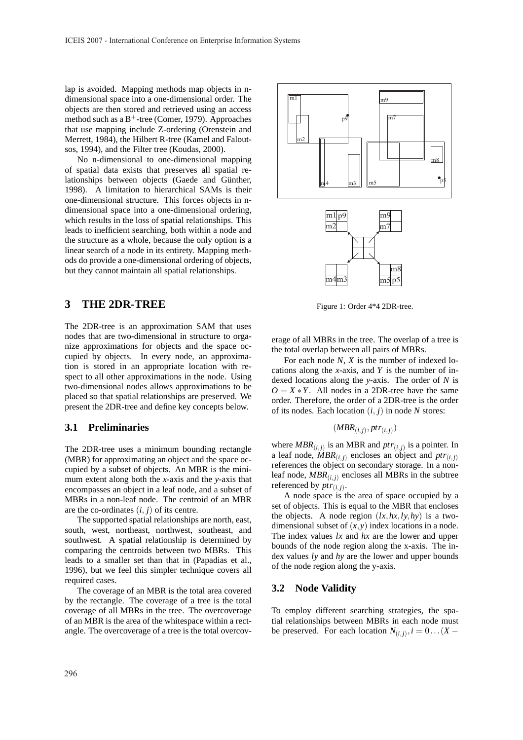lap is avoided. Mapping methods map objects in ndimensional space into a one-dimensional order. The objects are then stored and retrieved using an access method such as a  $B^+$ -tree (Comer, 1979). Approaches that use mapping include Z-ordering (Orenstein and Merrett, 1984), the Hilbert R-tree (Kamel and Faloutsos, 1994), and the Filter tree (Koudas, 2000).

No n-dimensional to one-dimensional mapping of spatial data exists that preserves all spatial relationships between objects (Gaede and Günther, 1998). A limitation to hierarchical SAMs is their one-dimensional structure. This forces objects in ndimensional space into a one-dimensional ordering, which results in the loss of spatial relationships. This leads to inefficient searching, both within a node and the structure as a whole, because the only option is a linear search of a node in its entirety. Mapping methods do provide a one-dimensional ordering of objects, but they cannot maintain all spatial relationships.

# **3 THE 2DR-TREE**

The 2DR-tree is an approximation SAM that uses nodes that are two-dimensional in structure to organize approximations for objects and the space occupied by objects. In every node, an approximation is stored in an appropriate location with respect to all other approximations in the node. Using two-dimensional nodes allows approximations to be placed so that spatial relationships are preserved. We present the 2DR-tree and define key concepts below.

#### **3.1 Preliminaries**

The 2DR-tree uses a minimum bounding rectangle (MBR) for approximating an object and the space occupied by a subset of objects. An MBR is the minimum extent along both the *x*-axis and the *y*-axis that encompasses an object in a leaf node, and a subset of MBRs in a non-leaf node. The centroid of an MBR are the co-ordinates  $(i, j)$  of its centre.

The supported spatial relationships are north, east, south, west, northeast, northwest, southeast, and southwest. A spatial relationship is determined by comparing the centroids between two MBRs. This leads to a smaller set than that in (Papadias et al., 1996), but we feel this simpler technique covers all required cases.

The coverage of an MBR is the total area covered by the rectangle. The coverage of a tree is the total coverage of all MBRs in the tree. The overcoverage of an MBR is the area of the whitespace within a rectangle. The overcoverage of a tree is the total overcov-



Figure 1: Order 4\*4 2DR-tree.

erage of all MBRs in the tree. The overlap of a tree is the total overlap between all pairs of MBRs.

For each node *N*, *X* is the number of indexed locations along the *x*-axis, and *Y* is the number of indexed locations along the *y*-axis. The order of *N* is  $O = X * Y$ . All nodes in a 2DR-tree have the same order. Therefore, the order of a 2DR-tree is the order of its nodes. Each location (*i*, *j*) in node *N* stores:

$$
(MBR_{(i,j)},ptr_{(i,j)})
$$

where  $MBR(i,j)$  is an MBR and  $ptr(i,j)$  is a pointer. In a leaf node,  $\widehat{M}BR(i,j)$  encloses an object and  $ptr(i,j)$ references the object on secondary storage. In a nonleaf node,  $MBR(i, j)$  encloses all MBRs in the subtree referenced by  $ptr_{(i,j)}$ .

A node space is the area of space occupied by a set of objects. This is equal to the MBR that encloses the objects. A node region  $(lx, hx, ly, hy)$  is a twodimensional subset of  $(x, y)$  index locations in a node. The index values *lx* and *hx* are the lower and upper bounds of the node region along the x-axis. The index values *ly* and *hy* are the lower and upper bounds of the node region along the y-axis.

#### **3.2 Node Validity**

To employ different searching strategies, the spatial relationships between MBRs in each node must be preserved. For each location  $N_{(i,j)}$ ,  $i = 0$ ...(*X* −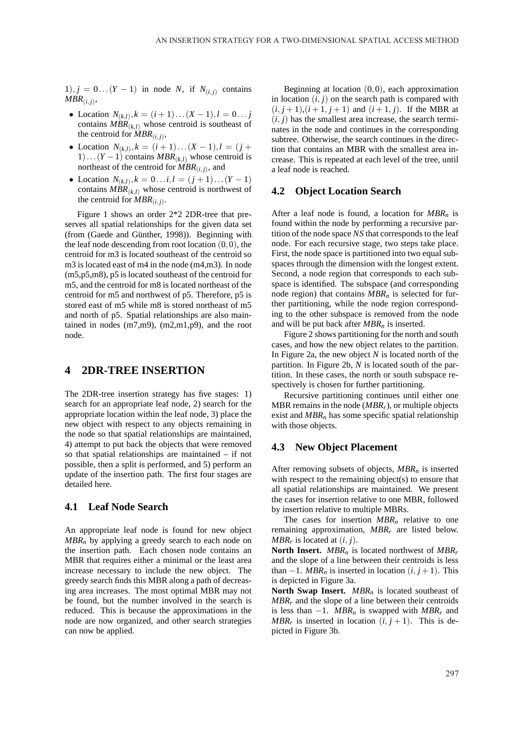1),  $j = 0 \dots (Y-1)$  in node *N*, if  $N_{(i,j)}$  contains  $MBR_{(i,j)},$ 

- Location  $N_{(k,l)}$ ,  $k = (i+1)...(X-1), l = 0...$  *j* contains  $MBR(k,l)$  whose centroid is southeast of the centroid for  $MBR_{(i,j)}$ ,
- Location  $N_{(k,l)}, k = (i+1)...(X-1), l = (j+1)$ 1)... $(Y-1)$  contains  $MBR(k,l)$  whose centroid is northeast of the centroid for  $MBR_{(i,j)}$ , and
- Location  $N_{(k,l)}, k = 0...i, l = (j + 1)...(Y 1)$ contains  $MBR(k|l)$  whose centroid is northwest of the centroid for  $MBR_{(i,j)}$ .

Figure 1 shows an order 2\*2 2DR-tree that preserves all spatial relationships for the given data set (from (Gaede and Günther, 1998)). Beginning with the leaf node descending from root location  $(0,0)$ , the centroid for m3 is located southeast of the centroid so m3 is located east of m4 in the node (m4,m3). In node (m5,p5,m8), p5 is located southeast of the centroid for m5, and the centroid for m8 is located northeast of the centroid for m5 and northwest of p5. Therefore, p5 is stored east of m5 while m8 is stored northeast of m5 and north of p5. Spatial relationships are also maintained in nodes (m7,m9), (m2,m1,p9), and the root node.

### **4 2DR-TREE INSERTION**

The 2DR-tree insertion strategy has five stages: 1) search for an appropriate leaf node, 2) search for the appropriate location within the leaf node, 3) place the new object with respect to any objects remaining in the node so that spatial relationships are maintained, 4) attempt to put back the objects that were removed so that spatial relationships are maintained – if not possible, then a split is performed, and 5) perform an update of the insertion path. The first four stages are detailed here.

#### **4.1 Leaf Node Search**

An appropriate leaf node is found for new object *MBR<sup>n</sup>* by applying a greedy search to each node on the insertion path. Each chosen node contains an MBR that requires either a minimal or the least area increase necessary to include the new object. The greedy search finds this MBR along a path of decreasing area increases. The most optimal MBR may not be found, but the number involved in the search is reduced. This is because the approximations in the node are now organized, and other search strategies can now be applied.

Beginning at location  $(0,0)$ , each approximation in location  $(i, j)$  on the search path is compared with  $(i, j + 1), (i + 1, j + 1)$  and  $(i + 1, j)$ . If the MBR at  $(i, j)$  has the smallest area increase, the search terminates in the node and continues in the corresponding subtree. Otherwise, the search continues in the direction that contains an MBR with the smallest area increase. This is repeated at each level of the tree, until a leaf node is reached.

### **4.2 Object Location Search**

After a leaf node is found, a location for *MBR<sup>n</sup>* is found within the node by performing a recursive partition of the node space *NS* that corresponds to the leaf node. For each recursive stage, two steps take place. First, the node space is partitioned into two equal subspaces through the dimension with the longest extent. Second, a node region that corresponds to each subspace is identified. The subspace (and corresponding node region) that contains *MBR<sup>n</sup>* is selected for further partitioning, while the node region corresponding to the other subspace is removed from the node and will be put back after *MBR<sup>n</sup>* is inserted.

Figure 2 shows partitioning for the north and south cases, and how the new object relates to the partition. In Figure 2a, the new object *N* is located north of the partition. In Figure 2b, *N* is located south of the partition. In these cases, the north or south subspace respectively is chosen for further partitioning.

Recursive partitioning continues until either one MBR remains in the node (*MBRr*), or multiple objects exist and *MBR<sup>n</sup>* has some specific spatial relationship with those objects.

### **4.3 New Object Placement**

After removing subsets of objects, *MBR<sup>n</sup>* is inserted with respect to the remaining object(s) to ensure that all spatial relationships are maintained. We present the cases for insertion relative to one MBR, followed by insertion relative to multiple MBRs.

The cases for insertion  $MBR<sub>n</sub>$  relative to one remaining approximation, *MBR<sup>r</sup>* are listed below. *MBR<sub>r</sub>* is located at  $(i, j)$ .

**North Insert.** *MBR<sup>n</sup>* is located northwest of *MBR<sup>r</sup>* and the slope of a line between their centroids is less than  $-1$ . *MBR<sub>n</sub>* is inserted in location  $(i, j + 1)$ . This is depicted in Figure 3a.

**North Swap Insert.** *MBR<sup>n</sup>* is located southeast of  $MBR<sub>r</sub>$  and the slope of a line between their centroids is less than  $-1$ . *MBR<sub>n</sub>* is swapped with *MBR<sub>r</sub>* and *MBR<sub>r</sub>* is inserted in location  $(i, j + 1)$ . This is depicted in Figure 3b.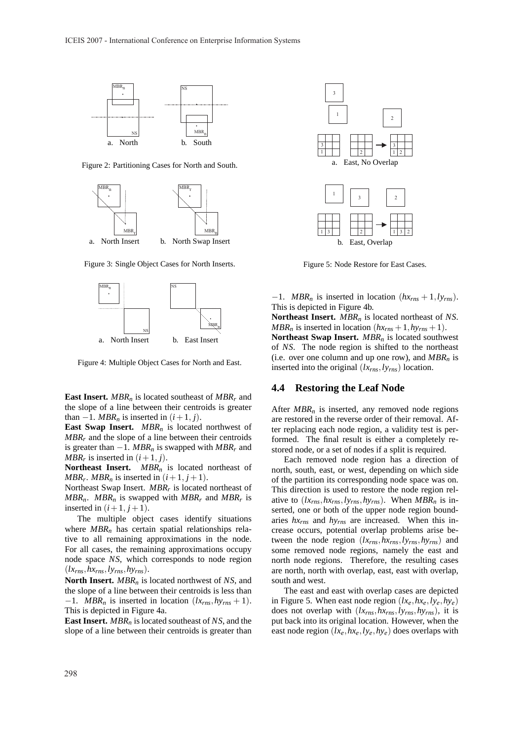

Figure 2: Partitioning Cases for North and South.



Figure 3: Single Object Cases for North Inserts.



Figure 4: Multiple Object Cases for North and East.

**East Insert.** *MBR<sup>n</sup>* is located southeast of *MBR<sup>r</sup>* and the slope of a line between their centroids is greater than  $-1$ *. MBR<sub>n</sub>* is inserted in  $(i+1, j)$ .

**East Swap Insert.** *MBR<sup>n</sup>* is located northwest of  $MBR<sub>r</sub>$  and the slope of a line between their centroids is greater than  $-1$ . *MBR<sub>n</sub>* is swapped with *MBR<sub>r</sub>* and *MBR<sub>r</sub>* is inserted in  $(i+1, j)$ .

**Northeast Insert.** *MBR<sup>n</sup>* is located northeast of *MBR<sub>r</sub>*. *MBR<sub>n</sub>* is inserted in  $(i+1, j+1)$ .

Northeast Swap Insert. *MBR<sup>r</sup>* is located northeast of *MBRn*. *MBR<sup>n</sup>* is swapped with *MBR<sup>r</sup>* and *MBR<sup>r</sup>* is inserted in  $(i+1, j+1)$ .

The multiple object cases identify situations where *MBR<sup>n</sup>* has certain spatial relationships relative to all remaining approximations in the node. For all cases, the remaining approximations occupy node space *NS*, which corresponds to node region  $(lx_{rms}, hx_{rms}, ly_{rms}, hy_{rms})$ .

**North Insert.** *MBR<sup>n</sup>* is located northwest of *NS*, and the slope of a line between their centroids is less than  $-1$ . *MBR<sub>n</sub>* is inserted in location ( $lx_{rms}$ ,  $hy_{rms}$  + 1). This is depicted in Figure 4a.

**East Insert.** *MBR<sup>n</sup>* is located southeast of *NS*, and the slope of a line between their centroids is greater than



Figure 5: Node Restore for East Cases.

 $-1$ . *MBR<sub>n</sub>* is inserted in location  $(hx_{rms} + 1, ly_{rms})$ . This is depicted in Figure 4b.

**Northeast Insert.** *MBR<sup>n</sup>* is located northeast of *NS*. *MBR<sub>n</sub>* is inserted in location  $(hx_{rms} + 1, hy_{rms} + 1)$ . **Northeast Swap Insert.** *MBR<sup>n</sup>* is located southwest of *NS*. The node region is shifted to the northeast (i.e. over one column and up one row), and *MBR<sup>n</sup>* is inserted into the original (*lxrns*,*lyrns*) location.

#### **4.4 Restoring the Leaf Node**

After *MBR<sub>n</sub>* is inserted, any removed node regions are restored in the reverse order of their removal. After replacing each node region, a validity test is performed. The final result is either a completely restored node, or a set of nodes if a split is required.

Each removed node region has a direction of north, south, east, or west, depending on which side of the partition its corresponding node space was on. This direction is used to restore the node region relative to  $(lx_{rms}, hx_{rms}, ly_{rms}, hy_{rms})$ . When  $MBR_n$  is inserted, one or both of the upper node region boundaries *hxrns* and *hyrns* are increased. When this increase occurs, potential overlap problems arise between the node region (*lxrns*,*hxrns*,*lyrns*,*hyrns*) and some removed node regions, namely the east and north node regions. Therefore, the resulting cases are north, north with overlap, east, east with overlap, south and west.

The east and east with overlap cases are depicted in Figure 5. When east node region  $(lx_e, hx_e, ly_e, hy_e)$ does not overlap with (*lxrns*,*hxrns*,*lyrns*,*hyrns*), it is put back into its original location. However, when the east node region  $(lx_e, hx_e, ly_e, hy_e)$  does overlaps with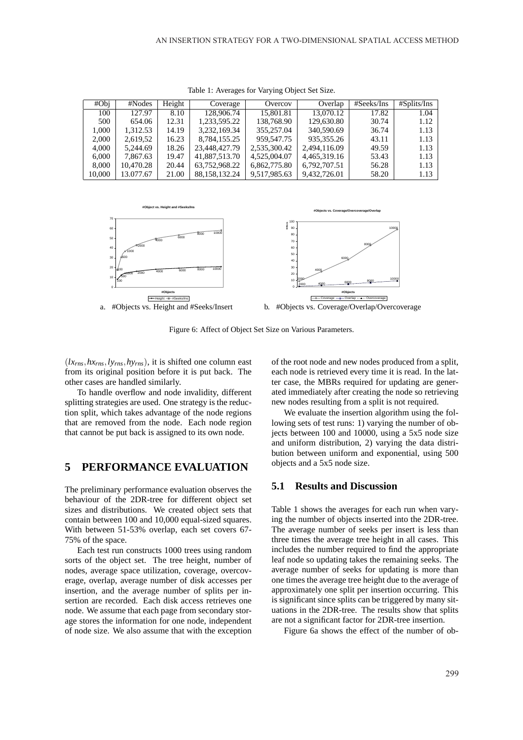| #Obj   | #Nodes    | Height | Coverage      | Overcov      | Overlap      | #Seeks/Ins | #Splits/Ins |
|--------|-----------|--------|---------------|--------------|--------------|------------|-------------|
| 100    | 127.97    | 8.10   | 128,906.74    | 15,801.81    | 13,070.12    | 17.82      | 1.04        |
| 500    | 654.06    | 12.31  | 1.233.595.22  | 138,768.90   | 129,630.80   | 30.74      | 1.12        |
| 1.000  | 1.312.53  | 14.19  | 3.232.169.34  | 355,257.04   | 340,590.69   | 36.74      | 1.13        |
| 2,000  | 2,619,52  | 16.23  | 8.784.155.25  | 959, 547. 75 | 935, 355, 26 | 43.11      | 1.13        |
| 4,000  | 5.244.69  | 18.26  | 23.448.427.79 | 2.535.300.42 | 2.494.116.09 | 49.59      | 1.13        |
| 6,000  | 7.867.63  | 19.47  | 41,887,513.70 | 4,525,004.07 | 4,465,319.16 | 53.43      | 1.13        |
| 8,000  | 10.470.28 | 20.44  | 63,752,968.22 | 6.862.775.80 | 6,792,707.51 | 56.28      | 1.13        |
| 10.000 | 13.077.67 | 21.00  | 88.158.132.24 | 9.517.985.63 | 9.432.726.01 | 58.20      | 1.13        |

Table 1: Averages for Varying Object Set Size.



Figure 6: Affect of Object Set Size on Various Parameters.

 $(lx<sub>rns</sub>, hx<sub>rns</sub>, ly<sub>rns</sub>, hy<sub>rns</sub>)$ , it is shifted one column east from its original position before it is put back. The other cases are handled similarly.

To handle overflow and node invalidity, different splitting strategies are used. One strategy is the reduction split, which takes advantage of the node regions that are removed from the node. Each node region that cannot be put back is assigned to its own node.

### **5 PERFORMANCE EVALUATION**

The preliminary performance evaluation observes the behaviour of the 2DR-tree for different object set sizes and distributions. We created object sets that contain between 100 and 10,000 equal-sized squares. With between 51-53% overlap, each set covers 67- 75% of the space.

Each test run constructs 1000 trees using random sorts of the object set. The tree height, number of nodes, average space utilization, coverage, overcoverage, overlap, average number of disk accesses per insertion, and the average number of splits per insertion are recorded. Each disk access retrieves one node. We assume that each page from secondary storage stores the information for one node, independent of node size. We also assume that with the exception of the root node and new nodes produced from a split, each node is retrieved every time it is read. In the latter case, the MBRs required for updating are generated immediately after creating the node so retrieving new nodes resulting from a split is not required.

We evaluate the insertion algorithm using the following sets of test runs: 1) varying the number of objects between 100 and 10000, using a 5x5 node size and uniform distribution, 2) varying the data distribution between uniform and exponential, using 500 objects and a 5x5 node size.

#### **5.1 Results and Discussion**

Table 1 shows the averages for each run when varying the number of objects inserted into the 2DR-tree. The average number of seeks per insert is less than three times the average tree height in all cases. This includes the number required to find the appropriate leaf node so updating takes the remaining seeks. The average number of seeks for updating is more than one times the average tree height due to the average of approximately one split per insertion occurring. This is significant since splits can be triggered by many situations in the 2DR-tree. The results show that splits are not a significant factor for 2DR-tree insertion.

Figure 6a shows the effect of the number of ob-